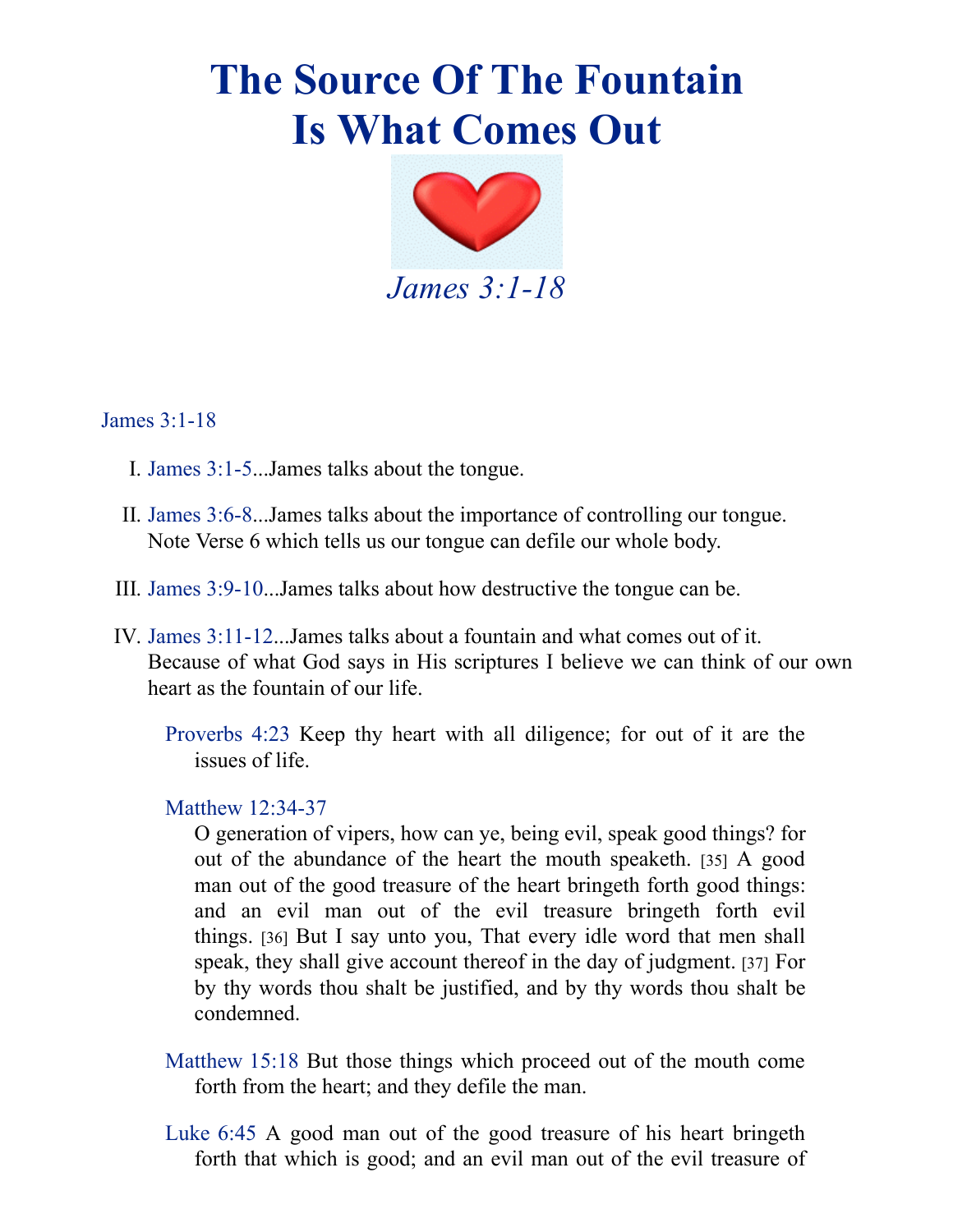## **The Source Of The Fountain Is What Comes Out**



James [3:1-18](https://av1611.com/verseclick/gobible.php?p=James_3.1-18)

- I. [James](https://av1611.com/verseclick/gobible.php?p=James_3.1-5) 3:1-5...James talks about the tongue.
- II. [James](https://av1611.com/verseclick/gobible.php?p=James_3.6-8) 3:6-8...James talks about the importance of controlling our tongue. Note Verse 6 which tells us our tongue can defile our whole body.
- III. James [3:9-10](https://av1611.com/verseclick/gobible.php?p=James_3.9-10)...James talks about how destructive the tongue can be.
- IV. James [3:11-12.](https://av1611.com/verseclick/gobible.php?p=James_3.11-12)..James talks about a fountain and what comes out of it. Because of what God says in His scriptures I believe we can think of our own heart as the fountain of our life.

[Proverbs](https://av1611.com/verseclick/gobible.php?p=Proverbs_4.23) 4:23 Keep thy heart with all diligence; for out of it are the issues of life.

## Matthew [12:34-37](https://av1611.com/verseclick/gobible.php?p=Matthew_12.34-37)

O generation of vipers, how can ye, being evil, speak good things? for out of the abundance of the heart the mouth speaketh. [35] A good man out of the good treasure of the heart bringeth forth good things: and an evil man out of the evil treasure bringeth forth evil things. [36] But I say unto you, That every idle word that men shall speak, they shall give account thereof in the day of judgment. [37] For by thy words thou shalt be justified, and by thy words thou shalt be condemned.

- [Matthew](https://av1611.com/verseclick/gobible.php?p=Matthew_15.18) 15:18 But those things which proceed out of the mouth come forth from the heart; and they defile the man.
- [Luke](https://av1611.com/verseclick/gobible.php?p=Luke_6.45) 6:45 A good man out of the good treasure of his heart bringeth forth that which is good; and an evil man out of the evil treasure of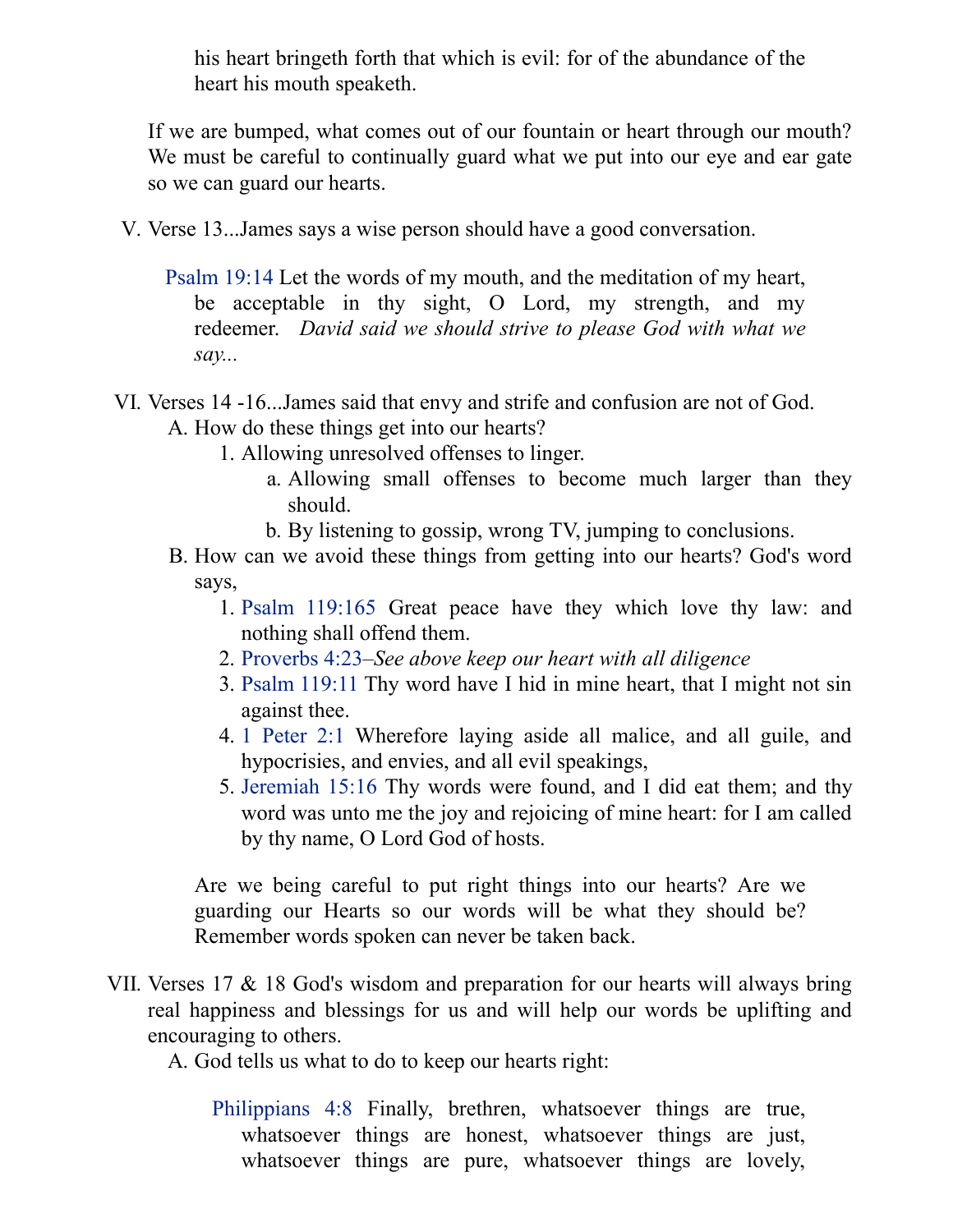his heart bringeth forth that which is evil: for of the abundance of the heart his mouth speaketh.

If we are bumped, what comes out of our fountain or heart through our mouth? We must be careful to continually guard what we put into our eye and ear gate so we can guard our hearts.

- V. Verse 13...James says a wise person should have a good conversation.
	- [Psalm](https://av1611.com/verseclick/gobible.php?p=Psalm_19.14) 19:14 Let the words of my mouth, and the meditation of my heart, be acceptable in thy sight, O Lord, my strength, and my redeemer. *David said we should strive to please God with what we say...*
- VI. Verses 14 -16...James said that envy and strife and confusion are not of God. A. How do these things get into our hearts?
	- 1. Allowing unresolved offenses to linger.
		- a. Allowing small offenses to become much larger than they should.
		- b. By listening to gossip, wrong TV, jumping to conclusions.
	- B. How can we avoid these things from getting into our hearts? God's word says,
		- 1. Psalm [119:165](https://av1611.com/verseclick/gobible.php?p=Psalm_119.165) Great peace have they which love thy law: and nothing shall offend them.
		- 2. [Proverbs](https://av1611.com/verseclick/gobible.php?p=Proverbs_4.23) 4:23–*See above keep our heart with all diligence*
		- 3. Psalm [119:11](https://av1611.com/verseclick/gobible.php?p=Psalm_119.11) Thy word have I hid in mine heart, that I might not sin against thee.
		- 4. 1 [Peter](https://av1611.com/verseclick/gobible.php?p=1%20Peter_2.1) 2:1 Wherefore laying aside all malice, and all guile, and hypocrisies, and envies, and all evil speakings,
		- 5. [Jeremiah](https://av1611.com/verseclick/gobible.php?p=Jeremiah_15.16) 15:16 Thy words were found, and I did eat them; and thy word was unto me the joy and rejoicing of mine heart: for I am called by thy name, O Lord God of hosts.

Are we being careful to put right things into our hearts? Are we guarding our Hearts so our words will be what they should be? Remember words spoken can never be taken back.

VII. Verses 17 & 18 God's wisdom and preparation for our hearts will always bring real happiness and blessings for us and will help our words be uplifting and encouraging to others.

A. God tells us what to do to keep our hearts right:

[Philippians](https://av1611.com/verseclick/gobible.php?p=Philippians_4.8) 4:8 Finally, brethren, whatsoever things are true, whatsoever things are honest, whatsoever things are just, whatsoever things are pure, whatsoever things are lovely,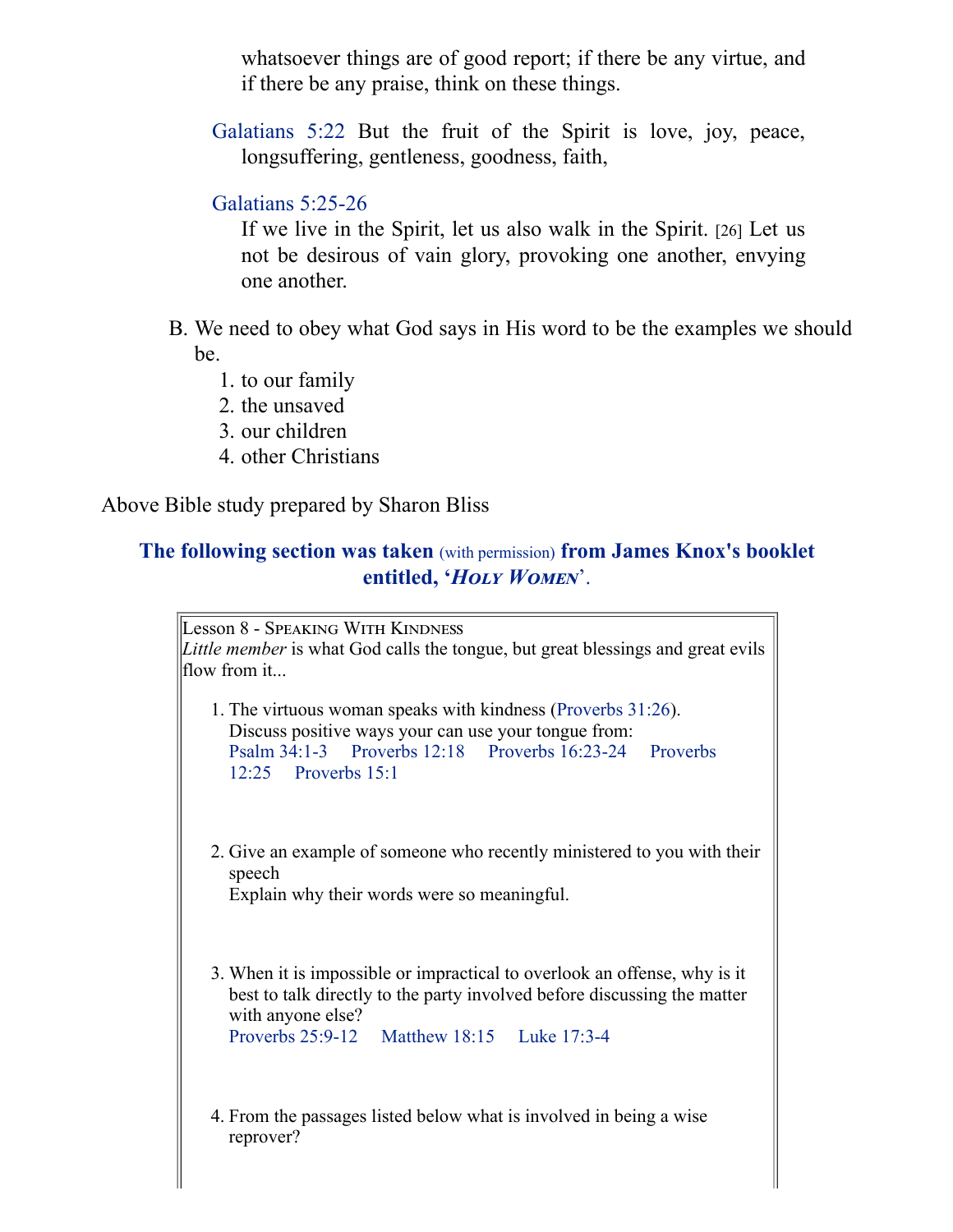whatsoever things are of good report; if there be any virtue, and if there be any praise, think on these things.

[Galatians](https://av1611.com/verseclick/gobible.php?p=Galatians_5.22) 5:22 But the fruit of the Spirit is love, joy, peace, longsuffering, gentleness, goodness, faith,

## [Galatians](https://av1611.com/verseclick/gobible.php?p=Galatians_5.25-26) 5:25-26

If we live in the Spirit, let us also walk in the Spirit. [26] Let us not be desirous of vain glory, provoking one another, envying one another.

- B. We need to obey what God says in His word to be the examples we should be.
	- 1. to our family
	- 2. the unsaved
	- 3. our children
	- 4. other Christians

Above Bible study prepared by Sharon Bliss

## **The following section was taken** (with permission) **from James Knox's booklet** entitled, 'HOLY WOMEN'.

Lesson 8 - Speaking With Kindness *Little member* is what God calls the tongue, but great blessings and great evils flow from it... 1. The virtuous woman speaks with kindness ([Proverbs 31:26\)](https://av1611.com/verseclick/gobible.php?p=Proverbs_31.26). Discuss positive ways your can use your tongue from: [Psalm 34:1-](https://av1611.com/verseclick/gobible.php?p=Psalm_34.1-3)[3 P](https://av1611.com/verseclick/gobible.php?p=Proverbs_12.25)[roverbs 12:18](https://av1611.com/verseclick/gobible.php?p=Proverbs_12.18) [P](https://av1611.com/verseclick/gobible.php?p=Proverbs_12.25)[roverbs 16:23-24](https://av1611.com/verseclick/gobible.php?p=Proverbs_16.23-24) [Proverbs](https://av1611.com/verseclick/gobible.php?p=Proverbs_12.25) 12:25 [Proverbs 15:1](https://av1611.com/verseclick/gobible.php?p=Proverbs_15.1) 2. Give an example of someone who recently ministered to you with their speech Explain why their words were so meaningful. 3. When it is impossible or impractical to overlook an offense, why is it best to talk directly to the party involved before discussing the matter with anyone else? [Proverbs 25:9-12](https://av1611.com/verseclick/gobible.php?p=Proverbs_25.9-12) [Matthew 18:15](https://av1611.com/verseclick/gobible.php?p=Matthew_18.15) [Luke 17:3-4](https://av1611.com/verseclick/gobible.php?p=Luke_17.3-4) 4. From the passages listed below what is involved in being a wise reprover?